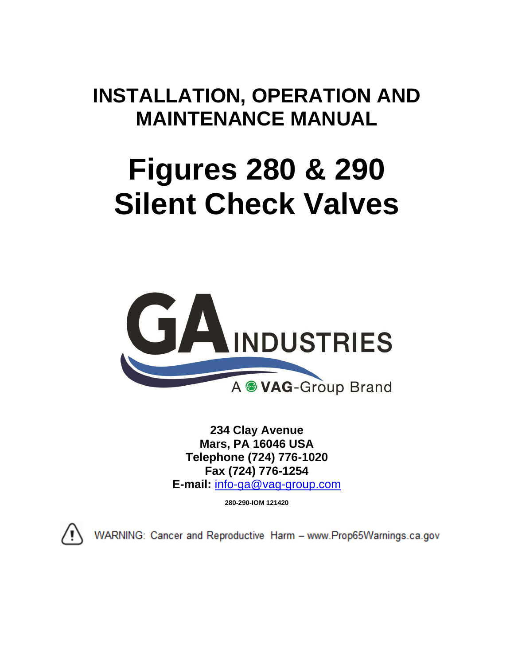# **INSTALLATION, OPERATION AND MAINTENANCE MANUAL**

# **Figures 280 & 290 Silent Check Valves**



**234 Clay Avenue Mars, PA 16046 USA Telephone (724) 776-1020 Fax (724) 776-1254 E-mail:** [info-ga@vag-group.com](mailto:info-ga@vag-group.com)

**280-290-IOM 121420**



WARNING: Cancer and Reproductive Harm - www.Prop65Warnings.ca.gov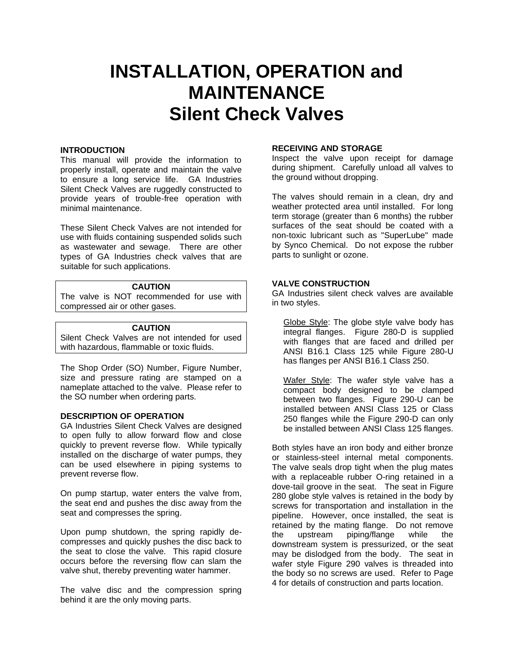# **INSTALLATION, OPERATION and MAINTENANCE Silent Check Valves**

#### **INTRODUCTION**

This manual will provide the information to properly install, operate and maintain the valve to ensure a long service life. GA Industries Silent Check Valves are ruggedly constructed to provide years of trouble-free operation with minimal maintenance.

These Silent Check Valves are not intended for use with fluids containing suspended solids such as wastewater and sewage. There are other types of GA Industries check valves that are suitable for such applications.

#### **CAUTION**

The valve is NOT recommended for use with compressed air or other gases.

# **CAUTION**

Silent Check Valves are not intended for used with hazardous, flammable or toxic fluids.

The Shop Order (SO) Number, Figure Number, size and pressure rating are stamped on a nameplate attached to the valve. Please refer to the SO number when ordering parts.

## **DESCRIPTION OF OPERATION**

GA Industries Silent Check Valves are designed to open fully to allow forward flow and close quickly to prevent reverse flow. While typically installed on the discharge of water pumps, they can be used elsewhere in piping systems to prevent reverse flow.

On pump startup, water enters the valve from, the seat end and pushes the disc away from the seat and compresses the spring.

Upon pump shutdown, the spring rapidly decompresses and quickly pushes the disc back to the seat to close the valve. This rapid closure occurs before the reversing flow can slam the valve shut, thereby preventing water hammer.

The valve disc and the compression spring behind it are the only moving parts.

#### **RECEIVING AND STORAGE**

Inspect the valve upon receipt for damage during shipment. Carefully unload all valves to the ground without dropping.

The valves should remain in a clean, dry and weather protected area until installed. For long term storage (greater than 6 months) the rubber surfaces of the seat should be coated with a non-toxic lubricant such as "SuperLube" made by Synco Chemical. Do not expose the rubber parts to sunlight or ozone.

#### **VALVE CONSTRUCTION**

GA Industries silent check valves are available in two styles.

Globe Style: The globe style valve body has integral flanges. Figure 280-D is supplied with flanges that are faced and drilled per ANSI B16.1 Class 125 while Figure 280-U has flanges per ANSI B16.1 Class 250.

Wafer Style: The wafer style valve has a compact body designed to be clamped between two flanges. Figure 290-U can be installed between ANSI Class 125 or Class 250 flanges while the Figure 290-D can only be installed between ANSI Class 125 flanges.

Both styles have an iron body and either bronze or stainless-steel internal metal components. The valve seals drop tight when the plug mates with a replaceable rubber O-ring retained in a dove-tail groove in the seat. The seat in Figure 280 globe style valves is retained in the body by screws for transportation and installation in the pipeline. However, once installed, the seat is retained by the mating flange. Do not remove the upstream piping/flange while the downstream system is pressurized, or the seat may be dislodged from the body. The seat in wafer style Figure 290 valves is threaded into the body so no screws are used. Refer to Page 4 for details of construction and parts location.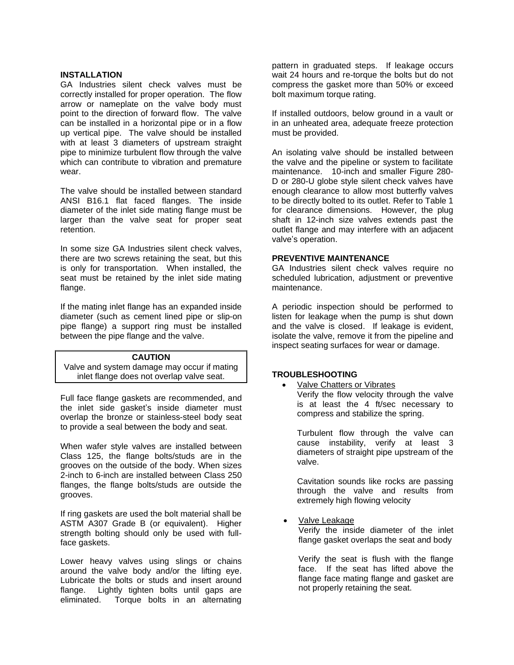#### **INSTALLATION**

GA Industries silent check valves must be correctly installed for proper operation. The flow arrow or nameplate on the valve body must point to the direction of forward flow. The valve can be installed in a horizontal pipe or in a flow up vertical pipe. The valve should be installed with at least 3 diameters of upstream straight pipe to minimize turbulent flow through the valve which can contribute to vibration and premature wear.

The valve should be installed between standard ANSI B16.1 flat faced flanges. The inside diameter of the inlet side mating flange must be larger than the valve seat for proper seat retention.

In some size GA Industries silent check valves, there are two screws retaining the seat, but this is only for transportation. When installed, the seat must be retained by the inlet side mating flange.

If the mating inlet flange has an expanded inside diameter (such as cement lined pipe or slip-on pipe flange) a support ring must be installed between the pipe flange and the valve.

#### **CAUTION**

Valve and system damage may occur if mating inlet flange does not overlap valve seat.

Full face flange gaskets are recommended, and the inlet side gasket's inside diameter must overlap the bronze or stainless-steel body seat to provide a seal between the body and seat.

When wafer style valves are installed between Class 125, the flange bolts/studs are in the grooves on the outside of the body. When sizes 2-inch to 6-inch are installed between Class 250 flanges, the flange bolts/studs are outside the grooves.

If ring gaskets are used the bolt material shall be ASTM A307 Grade B (or equivalent). Higher strength bolting should only be used with fullface gaskets.

Lower heavy valves using slings or chains around the valve body and/or the lifting eye. Lubricate the bolts or studs and insert around flange. Lightly tighten bolts until gaps are eliminated. Torque bolts in an alternating

pattern in graduated steps. If leakage occurs wait 24 hours and re-torque the bolts but do not compress the gasket more than 50% or exceed bolt maximum torque rating.

If installed outdoors, below ground in a vault or in an unheated area, adequate freeze protection must be provided.

An isolating valve should be installed between the valve and the pipeline or system to facilitate maintenance. 10-inch and smaller Figure 280- D or 280-U globe style silent check valves have enough clearance to allow most butterfly valves to be directly bolted to its outlet. Refer to Table 1 for clearance dimensions. However, the plug shaft in 12-inch size valves extends past the outlet flange and may interfere with an adjacent valve's operation.

# **PREVENTIVE MAINTENANCE**

GA Industries silent check valves require no scheduled lubrication, adjustment or preventive maintenance.

A periodic inspection should be performed to listen for leakage when the pump is shut down and the valve is closed. If leakage is evident, isolate the valve, remove it from the pipeline and inspect seating surfaces for wear or damage.

## **TROUBLESHOOTING**

• Valve Chatters or Vibrates Verify the flow velocity through the valve is at least the 4 ft/sec necessary to compress and stabilize the spring.

Turbulent flow through the valve can cause instability, verify at least 3 diameters of straight pipe upstream of the valve.

Cavitation sounds like rocks are passing through the valve and results from extremely high flowing velocity

• Valve Leakage

Verify the inside diameter of the inlet flange gasket overlaps the seat and body

Verify the seat is flush with the flange face. If the seat has lifted above the flange face mating flange and gasket are not properly retaining the seat.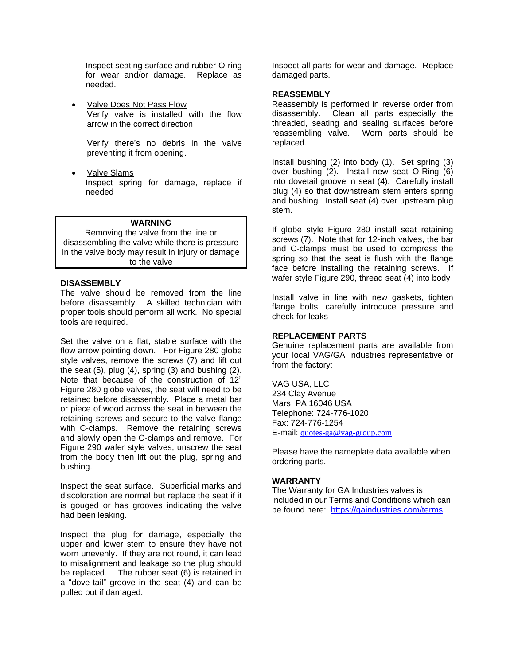Inspect seating surface and rubber O-ring for wear and/or damage. Replace as needed.

**Valve Does Not Pass Flow** Verify valve is installed with the flow arrow in the correct direction

Verify there's no debris in the valve preventing it from opening.

• Valve Slams Inspect spring for damage, replace if needed

#### **WARNING**

Removing the valve from the line or disassembling the valve while there is pressure in the valve body may result in injury or damage to the valve

# **DISASSEMBLY**

The valve should be removed from the line before disassembly. A skilled technician with proper tools should perform all work. No special tools are required.

Set the valve on a flat, stable surface with the flow arrow pointing down. For Figure 280 globe style valves, remove the screws (7) and lift out the seat  $(5)$ , plug  $(4)$ , spring  $(3)$  and bushing  $(2)$ . Note that because of the construction of 12" Figure 280 globe valves, the seat will need to be retained before disassembly. Place a metal bar or piece of wood across the seat in between the retaining screws and secure to the valve flange with C-clamps. Remove the retaining screws and slowly open the C-clamps and remove. For Figure 290 wafer style valves, unscrew the seat from the body then lift out the plug, spring and bushing.

Inspect the seat surface. Superficial marks and discoloration are normal but replace the seat if it is gouged or has grooves indicating the valve had been leaking.

Inspect the plug for damage, especially the upper and lower stem to ensure they have not worn unevenly. If they are not round, it can lead to misalignment and leakage so the plug should be replaced. The rubber seat (6) is retained in a "dove-tail" groove in the seat (4) and can be pulled out if damaged.

Inspect all parts for wear and damage. Replace damaged parts.

#### **REASSEMBLY**

Reassembly is performed in reverse order from disassembly. Clean all parts especially the threaded, seating and sealing surfaces before reassembling valve. Worn parts should be replaced.

Install bushing (2) into body (1). Set spring (3) over bushing (2). Install new seat O-Ring (6) into dovetail groove in seat (4). Carefully install plug (4) so that downstream stem enters spring and bushing. Install seat (4) over upstream plug stem.

If globe style Figure 280 install seat retaining screws (7). Note that for 12-inch valves, the bar and C-clamps must be used to compress the spring so that the seat is flush with the flange face before installing the retaining screws. If wafer style Figure 290, thread seat (4) into body

Install valve in line with new gaskets, tighten flange bolts, carefully introduce pressure and check for leaks

#### **REPLACEMENT PARTS**

Genuine replacement parts are available from your local VAG/GA Industries representative or from the factory:

VAG USA, LLC 234 Clay Avenue Mars, PA 16046 USA Telephone: 724-776-1020 Fax: 724-776-1254 E-mail: [quotes-ga@vag-group.com](mailto:quotes-ga@vag-group.com)

Please have the nameplate data available when ordering parts.

#### **WARRANTY**

The Warranty for GA Industries valves is included in our Terms and Conditions which can be found here: <https://gaindustries.com/terms>